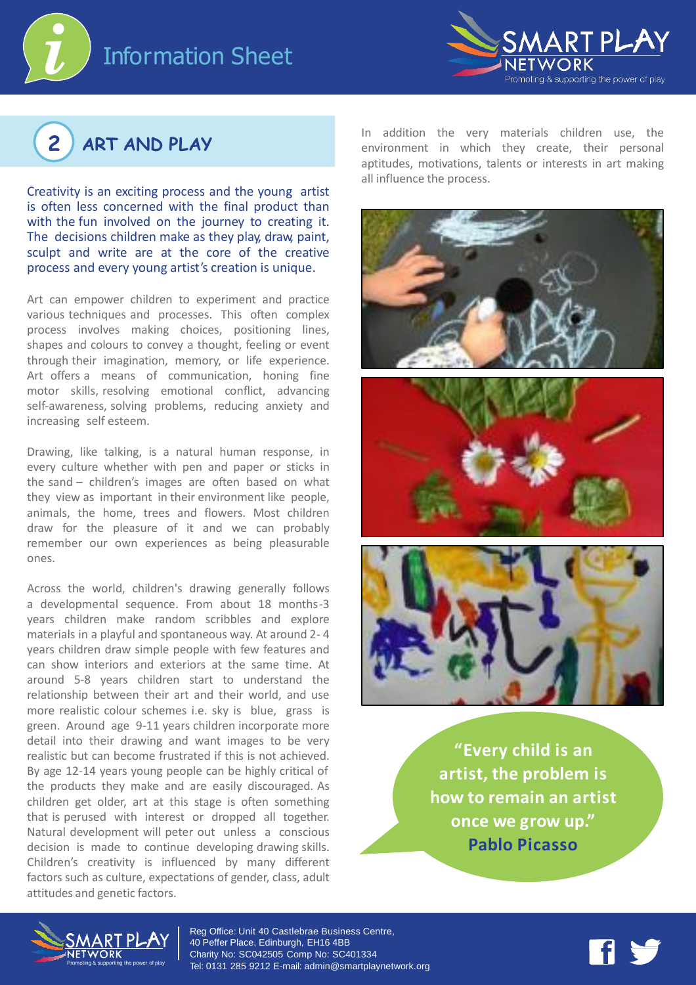





Creativity is an exciting process and the young artist is often less concerned with the final product than with the fun involved on the journey to creating it. The decisions children make as they play, draw, paint, sculpt and write are at the core of the creative process and every young artist's creation is unique.

Art can empower children to experiment and practice various techniques and processes. This often complex process involves making choices, positioning lines, shapes and colours to convey a thought, feeling or event through their imagination, memory, or life experience. Art offers a means of communication, honing fine motor skills, resolving emotional conflict, advancing self-awareness, solving problems, reducing anxiety and increasing self esteem.

Drawing, like talking, is a natural human response, in every culture whether with pen and paper or sticks in the sand – children's images are often based on what they view as important in their environment like people, animals, the home, trees and flowers. Most children draw for the pleasure of it and we can probably remember our own experiences as being pleasurable ones.

Across the world, children's drawing generally follows a developmental sequence. From about 18 months-3 years children make random scribbles and explore materials in a playful and spontaneous way. At around 2- 4 years children draw simple people with few features and can show interiors and exteriors at the same time. At around 5-8 years children start to understand the relationship between their art and their world, and use more realistic colour schemes i.e. sky is blue, grass is green. Around age 9-11 years children incorporate more detail into their drawing and want images to be very realistic but can become frustrated if this is not achieved. By age 12-14 years young people can be highly critical of the products they make and are easily discouraged. As children get older, art at this stage is often something that is perused with interest or dropped all together. Natural development will peter out unless a conscious decision is made to continue developing drawing skills. Children's creativity is influenced by many different factors such as culture, expectations of gender, class, adult attitudes and genetic factors.

In addition the very materials children use, the environment in which they create, their personal aptitudes, motivations, talents or interests in art making all influence the process.



**"Every child is an artist, the problem is how to remain an artist once we grow up." Pablo Picasso**



Reg Office: Unit 40 Castlebrae Business Centre, 40 Peffer Place, Edinburgh, EH16 4BB Charity No: SC042505 Comp No: SC401334 Tel: 0131 285 9212 E-mail: admin@smartplaynetwork.org